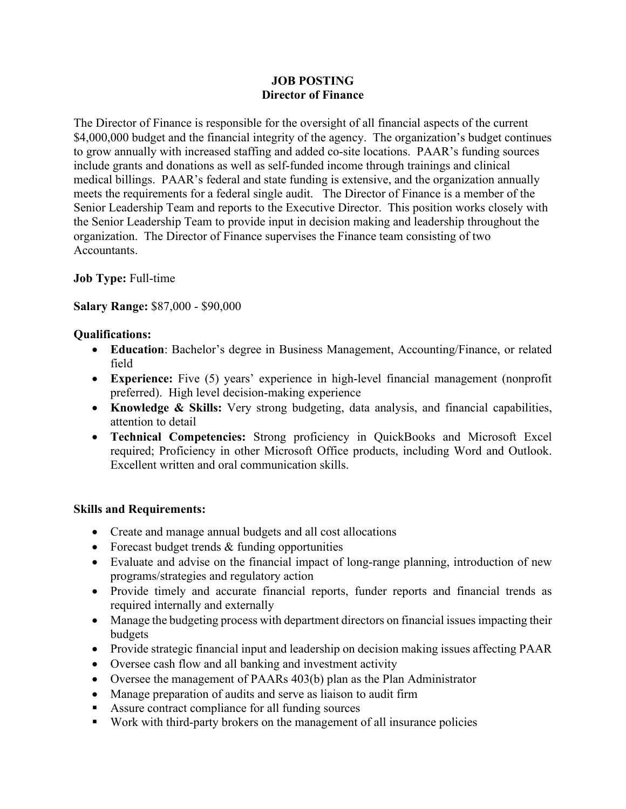#### **JOB POSTING Director of Finance**

The Director of Finance is responsible for the oversight of all financial aspects of the current \$4,000,000 budget and the financial integrity of the agency. The organization's budget continues to grow annually with increased staffing and added co-site locations. PAAR's funding sources include grants and donations as well as self-funded income through trainings and clinical medical billings. PAAR's federal and state funding is extensive, and the organization annually meets the requirements for a federal single audit. The Director of Finance is a member of the Senior Leadership Team and reports to the Executive Director. This position works closely with the Senior Leadership Team to provide input in decision making and leadership throughout the organization. The Director of Finance supervises the Finance team consisting of two Accountants.

## **Job Type:** Full-time

**Salary Range:** \$87,000 - \$90,000

## **Qualifications:**

- **Education**: Bachelor's degree in Business Management, Accounting/Finance, or related field
- **Experience:** Five (5) years' experience in high-level financial management (nonprofit preferred). High level decision-making experience
- **Knowledge & Skills:** Very strong budgeting, data analysis, and financial capabilities, attention to detail
- **Technical Competencies:** Strong proficiency in QuickBooks and Microsoft Excel required; Proficiency in other Microsoft Office products, including Word and Outlook. Excellent written and oral communication skills.

## **Skills and Requirements:**

- Create and manage annual budgets and all cost allocations
- Forecast budget trends & funding opportunities
- Evaluate and advise on the financial impact of long-range planning, introduction of new programs/strategies and regulatory action
- Provide timely and accurate financial reports, funder reports and financial trends as required internally and externally
- Manage the budgeting process with department directors on financial issues impacting their budgets
- Provide strategic financial input and leadership on decision making issues affecting PAAR
- Oversee cash flow and all banking and investment activity
- Oversee the management of PAARs 403(b) plan as the Plan Administrator
- Manage preparation of audits and serve as liaison to audit firm
- Assure contract compliance for all funding sources
- Work with third-party brokers on the management of all insurance policies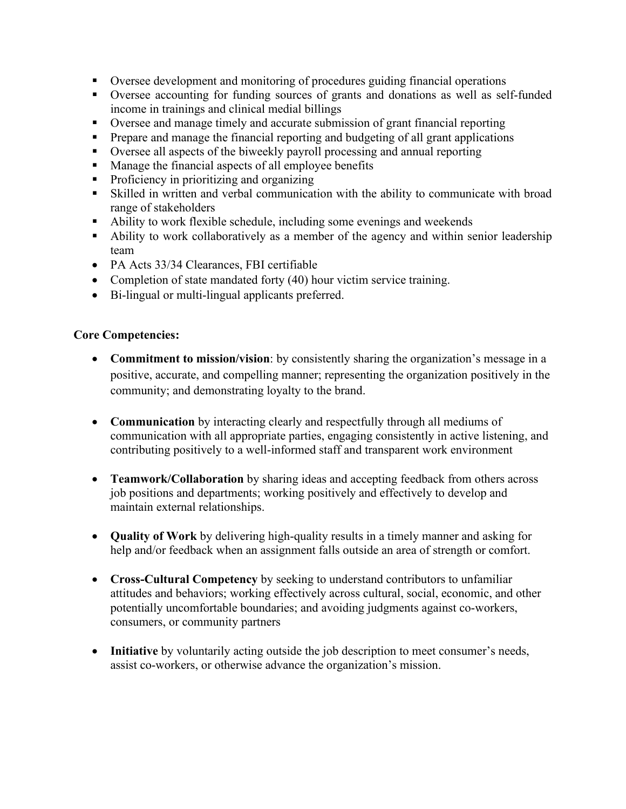- Oversee development and monitoring of procedures guiding financial operations
- Oversee accounting for funding sources of grants and donations as well as self-funded income in trainings and clinical medial billings
- Oversee and manage timely and accurate submission of grant financial reporting
- **Prepare and manage the financial reporting and budgeting of all grant applications**
- Oversee all aspects of the biweekly payroll processing and annual reporting
- Manage the financial aspects of all employee benefits
- Proficiency in prioritizing and organizing
- Skilled in written and verbal communication with the ability to communicate with broad range of stakeholders
- Ability to work flexible schedule, including some evenings and weekends
- Ability to work collaboratively as a member of the agency and within senior leadership team
- PA Acts 33/34 Clearances, FBI certifiable
- Completion of state mandated forty (40) hour victim service training.
- Bi-lingual or multi-lingual applicants preferred.

#### **Core Competencies:**

- **Commitment to mission/vision**: by consistently sharing the organization's message in a positive, accurate, and compelling manner; representing the organization positively in the community; and demonstrating loyalty to the brand.
- **Communication** by interacting clearly and respectfully through all mediums of communication with all appropriate parties, engaging consistently in active listening, and contributing positively to a well-informed staff and transparent work environment
- **Teamwork/Collaboration** by sharing ideas and accepting feedback from others across job positions and departments; working positively and effectively to develop and maintain external relationships.
- **Quality of Work** by delivering high-quality results in a timely manner and asking for help and/or feedback when an assignment falls outside an area of strength or comfort.
- **Cross-Cultural Competency** by seeking to understand contributors to unfamiliar attitudes and behaviors; working effectively across cultural, social, economic, and other potentially uncomfortable boundaries; and avoiding judgments against co-workers, consumers, or community partners
- **Initiative** by voluntarily acting outside the job description to meet consumer's needs, assist co-workers, or otherwise advance the organization's mission.